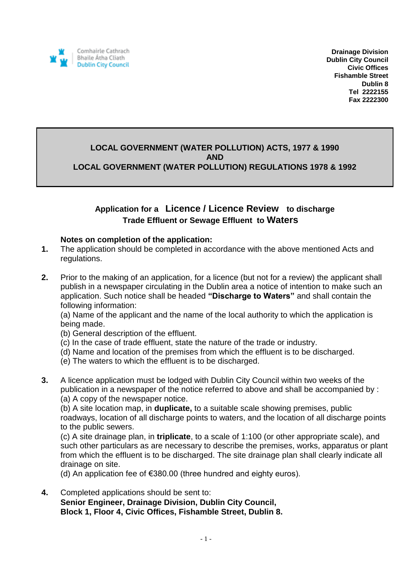

**Drainage Division Dublin City Council Civic Offices Fishamble Street Dublin 8 Tel 2222155 Fax 2222300**

## **LOCAL GOVERNMENT (WATER POLLUTION) ACTS, 1977 & 1990 AND LOCAL GOVERNMENT (WATER POLLUTION) REGULATIONS 1978 & 1992**

## **Application for a Licence / Licence Review to discharge Trade Effluent or Sewage Effluent to Waters**

## **Notes on completion of the application:**

- **1.** The application should be completed in accordance with the above mentioned Acts and regulations.
- **2.** Prior to the making of an application, for a licence (but not for a review) the applicant shall publish in a newspaper circulating in the Dublin area a notice of intention to make such an application. Such notice shall be headed **"Discharge to Waters"** and shall contain the following information:

(a) Name of the applicant and the name of the local authority to which the application is being made.

- (b) General description of the effluent.
- (c) In the case of trade effluent, state the nature of the trade or industry.
- (d) Name and location of the premises from which the effluent is to be discharged.
- (e) The waters to which the effluent is to be discharged.
- **3.** A licence application must be lodged with Dublin City Council within two weeks of the publication in a newspaper of the notice referred to above and shall be accompanied by : (a) A copy of the newspaper notice.

(b) A site location map, in **duplicate,** to a suitable scale showing premises, public roadways, location of all discharge points to waters, and the location of all discharge points to the public sewers.

(c) A site drainage plan, in **triplicate**, to a scale of 1:100 (or other appropriate scale), and such other particulars as are necessary to describe the premises, works, apparatus or plant from which the effluent is to be discharged. The site drainage plan shall clearly indicate all drainage on site.

(d) An application fee of €380.00 (three hundred and eighty euros).

**4.** Completed applications should be sent to: **Senior Engineer, Drainage Division, Dublin City Council, Block 1, Floor 4, Civic Offices, Fishamble Street, Dublin 8.**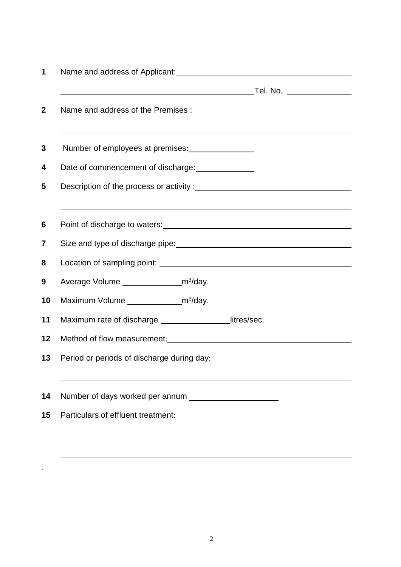| Number of employees at premises: _________________                                                                                                                                                                            |  |  |  |
|-------------------------------------------------------------------------------------------------------------------------------------------------------------------------------------------------------------------------------|--|--|--|
| Date of commencement of discharge: _______________                                                                                                                                                                            |  |  |  |
|                                                                                                                                                                                                                               |  |  |  |
| Point of discharge to waters:<br><u>Point of discharge to waters:</u>                                                                                                                                                         |  |  |  |
|                                                                                                                                                                                                                               |  |  |  |
|                                                                                                                                                                                                                               |  |  |  |
| Average Volume _______________________m <sup>3</sup> /day.                                                                                                                                                                    |  |  |  |
| Maximum Volume _______________________m <sup>3</sup> /day.                                                                                                                                                                    |  |  |  |
| Maximum rate of discharge ________________litres/sec.                                                                                                                                                                         |  |  |  |
| Method of flow measurement: Network and the state of the state of the state of the state of the state of the state of the state of the state of the state of the state of the state of the state of the state of the state of |  |  |  |
|                                                                                                                                                                                                                               |  |  |  |
|                                                                                                                                                                                                                               |  |  |  |
|                                                                                                                                                                                                                               |  |  |  |
|                                                                                                                                                                                                                               |  |  |  |
|                                                                                                                                                                                                                               |  |  |  |

 $\ddot{\phantom{a}}$